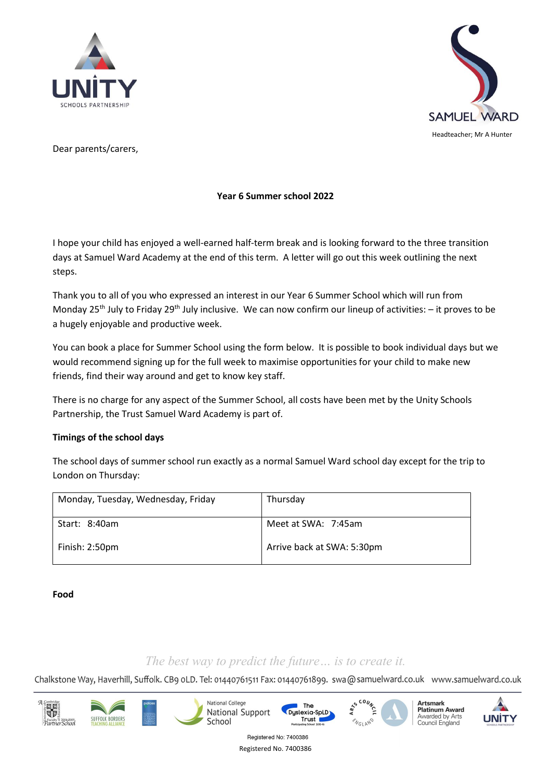



Dear parents/carers,

# **Year 6 Summer school 2022**

I hope your child has enjoyed a well-earned half-term break and is looking forward to the three transition days at Samuel Ward Academy at the end of this term. A letter will go out this week outlining the next steps.

Thank you to all of you who expressed an interest in our Year 6 Summer School which will run from Monday 25<sup>th</sup> July to Friday 29<sup>th</sup> July inclusive. We can now confirm our lineup of activities:  $-$  it proves to be a hugely enjoyable and productive week.

You can book a place for Summer School using the form below. It is possible to book individual days but we would recommend signing up for the full week to maximise opportunities for your child to make new friends, find their way around and get to know key staff.

There is no charge for any aspect of the Summer School, all costs have been met by the Unity Schools Partnership, the Trust Samuel Ward Academy is part of.

## **Timings of the school days**

The school days of summer school run exactly as a normal Samuel Ward school day except for the trip to London on Thursday:

| Monday, Tuesday, Wednesday, Friday | Thursday                   |
|------------------------------------|----------------------------|
| Start: 8:40am                      | Meet at SWA: 7:45am        |
| Finish: 2:50pm                     | Arrive back at SWA: 5:30pm |

**Food**

# *The best way to predict the future… is to create it.*

Chalkstone Way, Haverhill, Suffolk. CB9 oLD. Tel: 01440761511 Fax: 01440761899. swa@samuelward.co.uk www.samuelward.co.uk

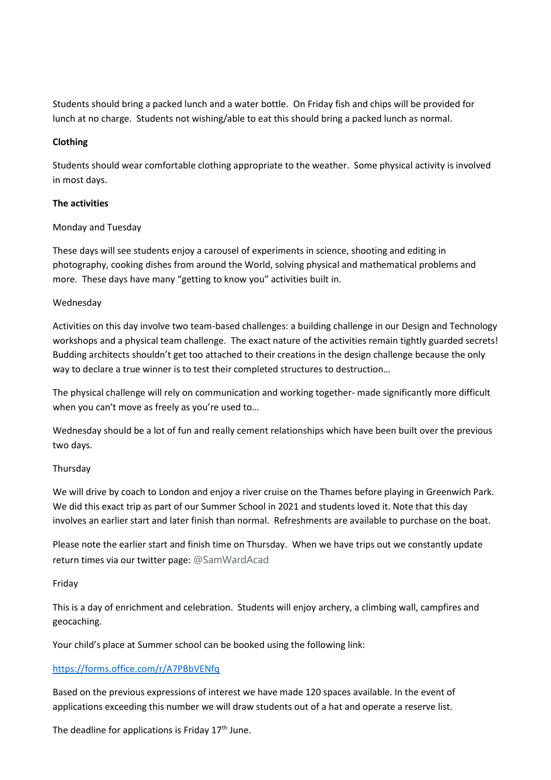Students should bring a packed lunch and a water bottle. On Friday fish and chips will be provided for lunch at no charge. Students not wishing/able to eat this should bring a packed lunch as normal.

## **Clothing**

Students should wear comfortable clothing appropriate to the weather. Some physical activity is involved in most days.

## **The activities**

## Monday and Tuesday

These days will see students enjoy a carousel of experiments in science, shooting and editing in photography, cooking dishes from around the World, solving physical and mathematical problems and more. These days have many "getting to know you" activities built in.

## Wednesday

Activities on this day involve two team-based challenges: a building challenge in our Design and Technology workshops and a physical team challenge. The exact nature of the activities remain tightly guarded secrets! Budding architects shouldn't get too attached to their creations in the design challenge because the only way to declare a true winner is to test their completed structures to destruction…

The physical challenge will rely on communication and working together- made significantly more difficult when you can't move as freely as you're used to…

Wednesday should be a lot of fun and really cement relationships which have been built over the previous two days.

#### Thursday

We will drive by coach to London and enjoy a river cruise on the Thames before playing in Greenwich Park. We did this exact trip as part of our Summer School in 2021 and students loved it. Note that this day involves an earlier start and later finish than normal. Refreshments are available to purchase on the boat.

Please note the earlier start and finish time on Thursday. When we have trips out we constantly update return times via our twitter page: @SamWardAcad

#### Friday

This is a day of enrichment and celebration. Students will enjoy archery, a climbing wall, campfires and geocaching.

Your child's place at Summer school can be booked using the following link:

## <https://forms.office.com/r/A7PBbVENfq>

Based on the previous expressions of interest we have made 120 spaces available. In the event of applications exceeding this number we will draw students out of a hat and operate a reserve list.

The deadline for applications is Friday  $17<sup>th</sup>$  June.